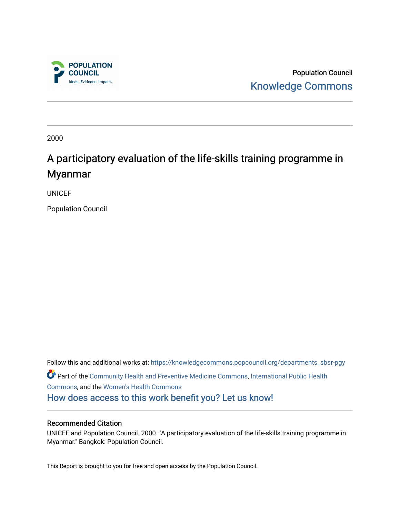

Population Council [Knowledge Commons](https://knowledgecommons.popcouncil.org/) 

2000

# A participatory evaluation of the life-skills training programme in Myanmar

**UNICEF** 

Population Council

Follow this and additional works at: [https://knowledgecommons.popcouncil.org/departments\\_sbsr-pgy](https://knowledgecommons.popcouncil.org/departments_sbsr-pgy?utm_source=knowledgecommons.popcouncil.org%2Fdepartments_sbsr-pgy%2F1530&utm_medium=PDF&utm_campaign=PDFCoverPages)  Part of the [Community Health and Preventive Medicine Commons](https://network.bepress.com/hgg/discipline/744?utm_source=knowledgecommons.popcouncil.org%2Fdepartments_sbsr-pgy%2F1530&utm_medium=PDF&utm_campaign=PDFCoverPages), [International Public Health](https://network.bepress.com/hgg/discipline/746?utm_source=knowledgecommons.popcouncil.org%2Fdepartments_sbsr-pgy%2F1530&utm_medium=PDF&utm_campaign=PDFCoverPages) [Commons](https://network.bepress.com/hgg/discipline/746?utm_source=knowledgecommons.popcouncil.org%2Fdepartments_sbsr-pgy%2F1530&utm_medium=PDF&utm_campaign=PDFCoverPages), and the [Women's Health Commons](https://network.bepress.com/hgg/discipline/1241?utm_source=knowledgecommons.popcouncil.org%2Fdepartments_sbsr-pgy%2F1530&utm_medium=PDF&utm_campaign=PDFCoverPages) [How does access to this work benefit you? Let us know!](https://pcouncil.wufoo.com/forms/open-access-to-population-council-research/)

#### Recommended Citation

UNICEF and Population Council. 2000. "A participatory evaluation of the life-skills training programme in Myanmar." Bangkok: Population Council.

This Report is brought to you for free and open access by the Population Council.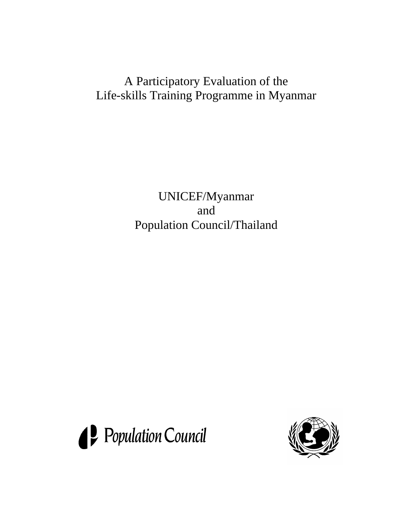# A Participatory Evaluation of the Life-skills Training Programme in Myanmar

UNICEF/Myanmar and Population Council/Thailand



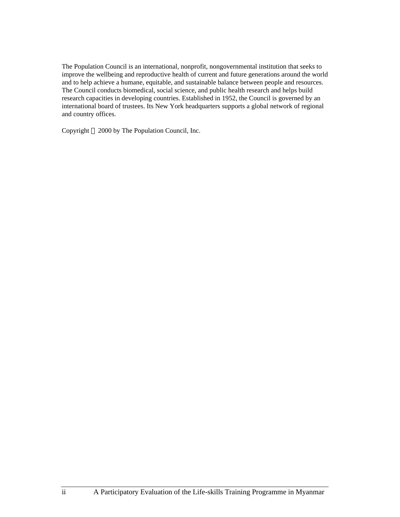The Population Council is an international, nonprofit, nongovernmental institution that seeks to improve the wellbeing and reproductive health of current and future generations around the world and to help achieve a humane, equitable, and sustainable balance between people and resources. The Council conducts biomedical, social science, and public health research and helps build research capacities in developing countries. Established in 1952, the Council is governed by an international board of trustees. Its New York headquarters supports a global network of regional and country offices.

Copyright  $\odot$  2000 by The Population Council, Inc.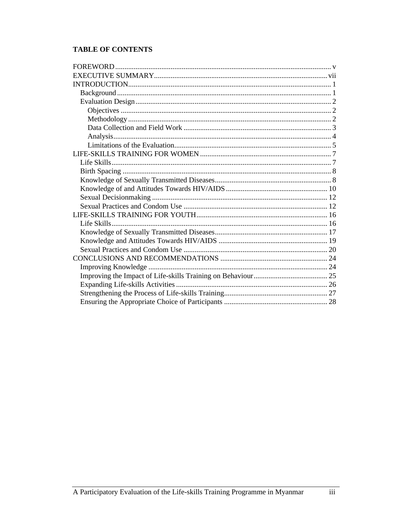# **TABLE OF CONTENTS**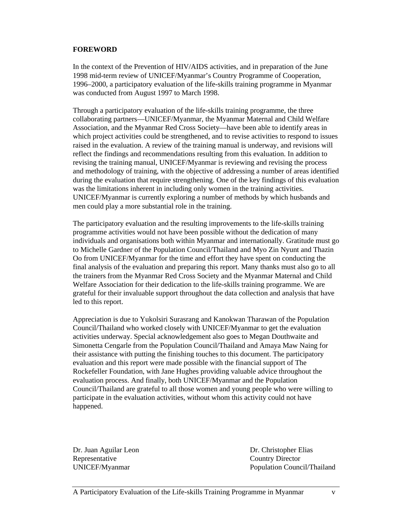#### **FOREWORD**

In the context of the Prevention of HIV/AIDS activities, and in preparation of the June 1998 mid-term review of UNICEF/Myanmar's Country Programme of Cooperation, 1996–2000, a participatory evaluation of the life-skills training programme in Myanmar was conducted from August 1997 to March 1998.

Through a participatory evaluation of the life-skills training programme, the three collaborating partners—UNICEF/Myanmar, the Myanmar Maternal and Child Welfare Association, and the Myanmar Red Cross Society—have been able to identify areas in which project activities could be strengthened, and to revise activities to respond to issues raised in the evaluation. A review of the training manual is underway, and revisions will reflect the findings and recommendations resulting from this evaluation. In addition to revising the training manual, UNICEF/Myanmar is reviewing and revising the process and methodology of training, with the objective of addressing a number of areas identified during the evaluation that require strengthening. One of the key findings of this evaluation was the limitations inherent in including only women in the training activities. UNICEF/Myanmar is currently exploring a number of methods by which husbands and men could play a more substantial role in the training.

The participatory evaluation and the resulting improvements to the life-skills training programme activities would not have been possible without the dedication of many individuals and organisations both within Myanmar and internationally. Gratitude must go to Michelle Gardner of the Population Council/Thailand and Myo Zin Nyunt and Thazin Oo from UNICEF/Myanmar for the time and effort they have spent on conducting the final analysis of the evaluation and preparing this report. Many thanks must also go to all the trainers from the Myanmar Red Cross Society and the Myanmar Maternal and Child Welfare Association for their dedication to the life-skills training programme. We are grateful for their invaluable support throughout the data collection and analysis that have led to this report.

Appreciation is due to Yukolsiri Surasrang and Kanokwan Tharawan of the Population Council/Thailand who worked closely with UNICEF/Myanmar to get the evaluation activities underway. Special acknowledgement also goes to Megan Douthwaite and Simonetta Cengarle from the Population Council/Thailand and Amaya Maw Naing for their assistance with putting the finishing touches to this document. The participatory evaluation and this report were made possible with the financial support of The Rockefeller Foundation, with Jane Hughes providing valuable advice throughout the evaluation process. And finally, both UNICEF/Myanmar and the Population Council/Thailand are grateful to all those women and young people who were willing to participate in the evaluation activities, without whom this activity could not have happened.

Dr. Juan Aguilar Leon Dr. Christopher Elias Representative Country Director

UNICEF/Myanmar Population Council/Thailand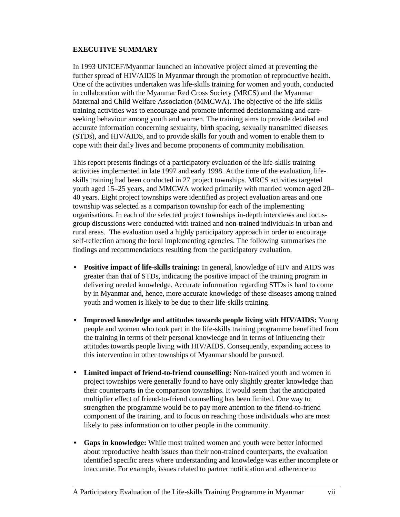# **EXECUTIVE SUMMARY**

In 1993 UNICEF/Myanmar launched an innovative project aimed at preventing the further spread of HIV/AIDS in Myanmar through the promotion of reproductive health. One of the activities undertaken was life-skills training for women and youth, conducted in collaboration with the Myanmar Red Cross Society (MRCS) and the Myanmar Maternal and Child Welfare Association (MMCWA). The objective of the life-skills training activities was to encourage and promote informed decisionmaking and careseeking behaviour among youth and women. The training aims to provide detailed and accurate information concerning sexuality, birth spacing, sexually transmitted diseases (STDs), and HIV/AIDS, and to provide skills for youth and women to enable them to cope with their daily lives and become proponents of community mobilisation.

This report presents findings of a participatory evaluation of the life-skills training activities implemented in late 1997 and early 1998. At the time of the evaluation, lifeskills training had been conducted in 27 project townships. MRCS activities targeted youth aged 15–25 years, and MMCWA worked primarily with married women aged 20– 40 years. Eight project townships were identified as project evaluation areas and one township was selected as a comparison township for each of the implementing organisations. In each of the selected project townships in-depth interviews and focusgroup discussions were conducted with trained and non-trained individuals in urban and rural areas. The evaluation used a highly participatory approach in order to encourage self-reflection among the local implementing agencies. The following summarises the findings and recommendations resulting from the participatory evaluation.

- **Positive impact of life-skills training:** In general, knowledge of HIV and AIDS was greater than that of STDs, indicating the positive impact of the training program in delivering needed knowledge. Accurate information regarding STDs is hard to come by in Myanmar and, hence, more accurate knowledge of these diseases among trained youth and women is likely to be due to their life-skills training.
- **Improved knowledge and attitudes towards people living with HIV/AIDS:** Young people and women who took part in the life-skills training programme benefitted from the training in terms of their personal knowledge and in terms of influencing their attitudes towards people living with HIV/AIDS. Consequently, expanding access to this intervention in other townships of Myanmar should be pursued.
- **Limited impact of friend-to-friend counselling:** Non-trained youth and women in project townships were generally found to have only slightly greater knowledge than their counterparts in the comparison townships. It would seem that the anticipated multiplier effect of friend-to-friend counselling has been limited. One way to strengthen the programme would be to pay more attention to the friend-to-friend component of the training, and to focus on reaching those individuals who are most likely to pass information on to other people in the community.
- **Gaps in knowledge:** While most trained women and youth were better informed about reproductive health issues than their non-trained counterparts, the evaluation identified specific areas where understanding and knowledge was either incomplete or inaccurate. For example, issues related to partner notification and adherence to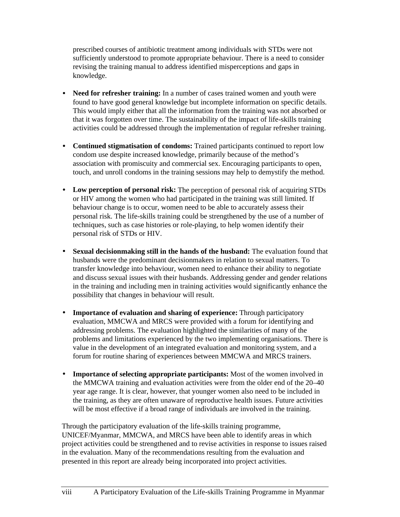prescribed courses of antibiotic treatment among individuals with STDs were not sufficiently understood to promote appropriate behaviour. There is a need to consider revising the training manual to address identified misperceptions and gaps in knowledge*.*

- **Need for refresher training:** In a number of cases trained women and youth were found to have good general knowledge but incomplete information on specific details. This would imply either that all the information from the training was not absorbed or that it was forgotten over time. The sustainability of the impact of life-skills training activities could be addressed through the implementation of regular refresher training.
- **Continued stigmatisation of condoms:** Trained participants continued to report low condom use despite increased knowledge, primarily because of the method's association with promiscuity and commercial sex. Encouraging participants to open, touch, and unroll condoms in the training sessions may help to demystify the method.
- **Low perception of personal risk:** The perception of personal risk of acquiring STDs or HIV among the women who had participated in the training was still limited. If behaviour change is to occur, women need to be able to accurately assess their personal risk. The life-skills training could be strengthened by the use of a number of techniques, such as case histories or role-playing, to help women identify their personal risk of STDs or HIV.
- **Sexual decisionmaking still in the hands of the husband:** The evaluation found that husbands were the predominant decisionmakers in relation to sexual matters. To transfer knowledge into behaviour, women need to enhance their ability to negotiate and discuss sexual issues with their husbands. Addressing gender and gender relations in the training and including men in training activities would significantly enhance the possibility that changes in behaviour will result.
- **Importance of evaluation and sharing of experience:** Through participatory evaluation, MMCWA and MRCS were provided with a forum for identifying and addressing problems. The evaluation highlighted the similarities of many of the problems and limitations experienced by the two implementing organisations. There is value in the development of an integrated evaluation and monitoring system, and a forum for routine sharing of experiences between MMCWA and MRCS trainers.
- **Importance of selecting appropriate participants:** Most of the women involved in the MMCWA training and evaluation activities were from the older end of the 20–40 year age range. It is clear, however, that younger women also need to be included in the training, as they are often unaware of reproductive health issues. Future activities will be most effective if a broad range of individuals are involved in the training.

Through the participatory evaluation of the life-skills training programme, UNICEF/Myanmar, MMCWA, and MRCS have been able to identify areas in which project activities could be strengthened and to revise activities in response to issues raised in the evaluation. Many of the recommendations resulting from the evaluation and presented in this report are already being incorporated into project activities.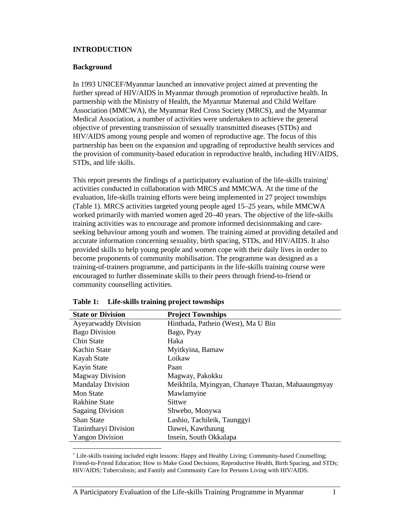#### **INTRODUCTION**

#### **Background**

 $\overline{a}$ 

In 1993 UNICEF/Myanmar launched an innovative project aimed at preventing the further spread of HIV/AIDS in Myanmar through promotion of reproductive health. In partnership with the Ministry of Health, the Myanmar Maternal and Child Welfare Association (MMCWA), the Myanmar Red Cross Society (MRCS), and the Myanmar Medical Association, a number of activities were undertaken to achieve the general objective of preventing transmission of sexually transmitted diseases (STDs) and HIV/AIDS among young people and women of reproductive age. The focus of this partnership has been on the expansion and upgrading of reproductive health services and the provision of community-based education in reproductive health, including HIV/AIDS, STDs, and life skills.

This report presents the findings of a participatory evaluation of the life-skills training<sup>1</sup> activities conducted in collaboration with MRCS and MMCWA. At the time of the evaluation, life-skills training efforts were being implemented in 27 project townships (Table 1). MRCS activities targeted young people aged 15–25 years, while MMCWA worked primarily with married women aged 20–40 years. The objective of the life-skills training activities was to encourage and promote informed decisionmaking and careseeking behaviour among youth and women. The training aimed at providing detailed and accurate information concerning sexuality, birth spacing, STDs, and HIV/AIDS. It also provided skills to help young people and women cope with their daily lives in order to become proponents of community mobilisation. The programme was designed as a training-of-trainers programme, and participants in the life-skills training course were encouraged to further disseminate skills to their peers through friend-to-friend or community counselling activities.

| <b>State or Division</b>    | <b>Project Townships</b>                          |
|-----------------------------|---------------------------------------------------|
| <b>Ayeyarwaddy Division</b> | Hinthada, Pathein (West), Ma U Bin                |
| <b>Bago Division</b>        | Bago, Pyay                                        |
| Chin State                  | Haka                                              |
| <b>Kachin State</b>         | Myitkyina, Bamaw                                  |
| Kayah State                 | Loikaw                                            |
| <b>Kayin State</b>          | Paan                                              |
| <b>Magway Division</b>      | Magway, Pakokku                                   |
| <b>Mandalay Division</b>    | Meikhtila, Myingyan, Chanaye Thazan, Mahaaungmyay |
| Mon State                   | Mawlamyine                                        |
| <b>Rakhine State</b>        | Sittwe                                            |
| <b>Sagaing Division</b>     | Shwebo, Monywa                                    |
| <b>Shan State</b>           | Lashio, Tachileik, Taunggyi                       |
| Tanintharyi Division        | Dawei, Kawthaung                                  |
| <b>Yangon Division</b>      | Insein, South Okkalapa                            |

| Table 1: Life-skills training project townships |  |  |
|-------------------------------------------------|--|--|
|-------------------------------------------------|--|--|

<sup>1</sup> Life-skills training included eight lessons: Happy and Healthy Living; Community-based Counselling; Friend-to-Friend Education; How to Make Good Decisions; Reproductive Health, Birth Spacing, and STDs; HIV/AIDS; Tuberculosis; and Family and Community Care for Persons Living with HIV/AIDS.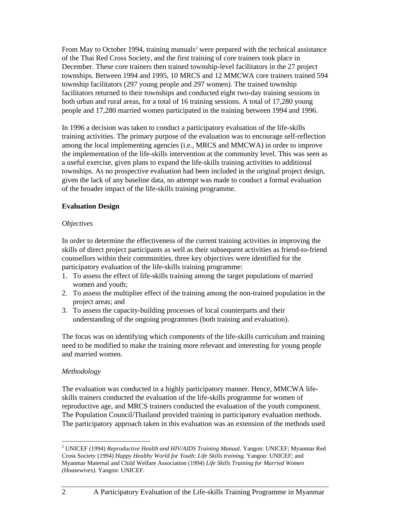From May to October 1994, training manuals<sup>2</sup> were prepared with the technical assistance of the Thai Red Cross Society, and the first training of core trainers took place in December. These core trainers then trained township-level facilitators in the 27 project townships. Between 1994 and 1995, 10 MRCS and 12 MMCWA core trainers trained 594 township facilitators (297 young people and 297 women). The trained township facilitators returned to their townships and conducted eight two-day training sessions in both urban and rural areas, for a total of 16 training sessions. A total of 17,280 young people and 17,280 married women participated in the training between 1994 and 1996.

In 1996 a decision was taken to conduct a participatory evaluation of the life-skills training activities. The primary purpose of the evaluation was to encourage self-reflection among the local implementing agencies (i.e., MRCS and MMCWA) in order to improve the implementation of the life-skills intervention at the community level. This was seen as a useful exercise, given plans to expand the life-skills training activities to additional townships. As no prospective evaluation had been included in the original project design, given the lack of any baseline data, no attempt was made to conduct a formal evaluation of the broader impact of the life-skills training programme.

#### **Evaluation Design**

#### *Objectives*

In order to determine the effectiveness of the current training activities in improving the skills of direct project participants as well as their subsequent activities as friend-to-friend counsellors within their communities, three key objectives were identified for the participatory evaluation of the life-skills training programme:

- 1. To assess the effect of life-skills training among the target populations of married women and youth;
- 2. To assess the multiplier effect of the training among the non-trained population in the project areas; and
- 3. To assess the capacity-building processes of local counterparts and their understanding of the ongoing programmes (both training and evaluation).

The focus was on identifying which components of the life-skills curriculum and training need to be modified to make the training more relevant and interesting for young people and married women.

# *Methodology*

The evaluation was conducted in a highly participatory manner. Hence, MMCWA lifeskills trainers conducted the evaluation of the life-skills programme for women of reproductive age, and MRCS trainers conducted the evaluation of the youth component. The Population Council/Thailand provided training in participatory evaluation methods. The participatory approach taken in this evaluation was an extension of the methods used

 $\overline{a}$ 

<sup>&</sup>lt;sup>2</sup> UNICEF (1994) *Reproductive Health and HIV/AIDS Training Manual.* Yangon: UNICEF; Myanmar Red Cross Society (1994) *Happy Healthy World for Youth: Life Skills training.* Yangon: UNICEF; and Myanmar Maternal and Child Welfare Association (1994) *Life Skills Training for Married Women (Housewives)*. Yangon: UNICEF.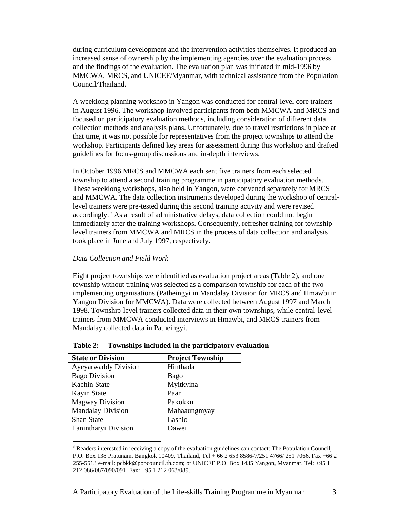during curriculum development and the intervention activities themselves. It produced an increased sense of ownership by the implementing agencies over the evaluation process and the findings of the evaluation. The evaluation plan was initiated in mid-1996 by MMCWA, MRCS, and UNICEF/Myanmar, with technical assistance from the Population Council/Thailand.

A weeklong planning workshop in Yangon was conducted for central-level core trainers in August 1996. The workshop involved participants from both MMCWA and MRCS and focused on participatory evaluation methods, including consideration of different data collection methods and analysis plans. Unfortunately, due to travel restrictions in place at that time, it was not possible for representatives from the project townships to attend the workshop. Participants defined key areas for assessment during this workshop and drafted guidelines for focus-group discussions and in-depth interviews.

In October 1996 MRCS and MMCWA each sent five trainers from each selected township to attend a second training programme in participatory evaluation methods. These weeklong workshops, also held in Yangon, were convened separately for MRCS and MMCWA. The data collection instruments developed during the workshop of centrallevel trainers were pre-tested during this second training activity and were revised accordingly. <sup>3</sup> As a result of administrative delays, data collection could not begin immediately after the training workshops. Consequently, refresher training for townshiplevel trainers from MMCWA and MRCS in the process of data collection and analysis took place in June and July 1997, respectively.

#### *Data Collection and Field Work*

 $\overline{a}$ 

Eight project townships were identified as evaluation project areas (Table 2), and one township without training was selected as a comparison township for each of the two implementing organisations (Patheingyi in Mandalay Division for MRCS and Hmawbi in Yangon Division for MMCWA). Data were collected between August 1997 and March 1998. Township-level trainers collected data in their own townships, while central-level trainers from MMCWA conducted interviews in Hmawbi, and MRCS trainers from Mandalay collected data in Patheingyi.

| <b>State or Division</b>    | <b>Project Township</b> |
|-----------------------------|-------------------------|
| <b>Ayeyarwaddy Division</b> | Hinthada                |
| <b>Bago Division</b>        | Bago                    |
| Kachin State                | Myitkyina               |
| Kayin State                 | Paan                    |
| <b>Magway Division</b>      | Pakokku                 |
| <b>Mandalay Division</b>    | Mahaaungmyay            |
| <b>Shan State</b>           | Lashio                  |
| Tanintharyi Division        | Dawei                   |

| Table 2: |  | Townships included in the participatory evaluation |  |
|----------|--|----------------------------------------------------|--|
|----------|--|----------------------------------------------------|--|

 $3$  Readers interested in receiving a copy of the evaluation guidelines can contact: The Population Council, P.O. Box 138 Pratunam, Bangkok 10409, Thailand, Tel + 66 2 653 8586-7/251 4766/ 251 7066, Fax +66 2 255-5513 e-mail: pcbkk@popcouncil.th.com; or UNICEF P.O. Box 1435 Yangon, Myanmar. Tel: +95 1 212 086/087/090/091, Fax: +95 1 212 063/089.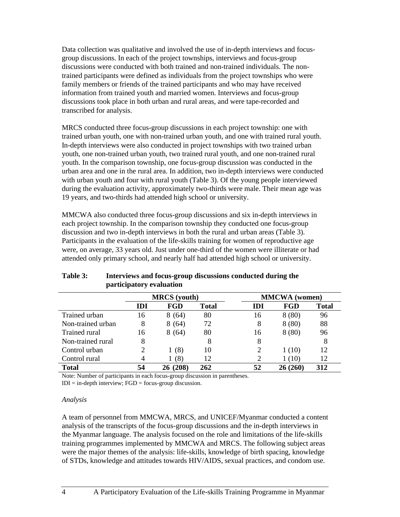Data collection was qualitative and involved the use of in-depth interviews and focusgroup discussions. In each of the project townships, interviews and focus-group discussions were conducted with both trained and non-trained individuals. The nontrained participants were defined as individuals from the project townships who were family members or friends of the trained participants and who may have received information from trained youth and married women. Interviews and focus-group discussions took place in both urban and rural areas, and were tape-recorded and transcribed for analysis.

MRCS conducted three focus-group discussions in each project township: one with trained urban youth, one with non-trained urban youth, and one with trained rural youth. In-depth interviews were also conducted in project townships with two trained urban youth, one non-trained urban youth, two trained rural youth, and one non-trained rural youth. In the comparison township, one focus-group discussion was conducted in the urban area and one in the rural area. In addition, two in-depth interviews were conducted with urban youth and four with rural youth (Table 3). Of the young people interviewed during the evaluation activity, approximately two-thirds were male. Their mean age was 19 years, and two-thirds had attended high school or university.

MMCWA also conducted three focus-group discussions and six in-depth interviews in each project township. In the comparison township they conducted one focus-group discussion and two in-depth interviews in both the rural and urban areas (Table 3). Participants in the evaluation of the life-skills training for women of reproductive age were, on average, 33 years old. Just under one-third of the women were illiterate or had attended only primary school, and nearly half had attended high school or university.

|                   | <b>MRCS</b> (youth) |            | <b>MMCWA</b> (women) |     |            |              |
|-------------------|---------------------|------------|----------------------|-----|------------|--------------|
|                   | IDI                 | <b>FGD</b> | <b>Total</b>         | IDI | <b>FGD</b> | <b>Total</b> |
| Trained urban     | 16                  | 8(64)      | 80                   | 16  | 8(80)      | 96           |
| Non-trained urban | 8                   | 8(64)      | 72                   | 8   | 8(80)      | 88           |
| Trained rural     | 16                  | 8(64)      | 80                   | 16  | 8(80)      | 96           |
| Non-trained rural | 8                   |            | 8                    | 8   |            |              |
| Control urban     | 2                   | (8)        | 10                   |     | 1(10)      | 12           |
| Control rural     | $\overline{4}$      | (8)        | 12                   |     | 1(10)      | 12           |
| <b>Total</b>      | 54                  | 26 (208)   | 262                  | 52  | 26(260)    | 312          |

# **Table 3: Interviews and focus-group discussions conducted during the participatory evaluation**

Note: Number of participants in each focus-group discussion in parentheses.

 $IDI = in-depth interview; FGD = focus-group discussion.$ 

#### *Analysis*

A team of personnel from MMCWA, MRCS, and UNICEF/Myanmar conducted a content analysis of the transcripts of the focus-group discussions and the in-depth interviews in the Myanmar language. The analysis focused on the role and limitations of the life-skills training programmes implemented by MMCWA and MRCS. The following subject areas were the major themes of the analysis: life-skills, knowledge of birth spacing, knowledge of STDs, knowledge and attitudes towards HIV/AIDS, sexual practices, and condom use.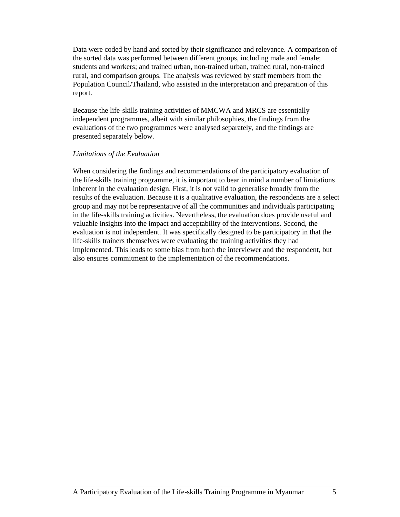Data were coded by hand and sorted by their significance and relevance. A comparison of the sorted data was performed between different groups, including male and female; students and workers; and trained urban, non-trained urban, trained rural, non-trained rural, and comparison groups. The analysis was reviewed by staff members from the Population Council/Thailand, who assisted in the interpretation and preparation of this report.

Because the life-skills training activities of MMCWA and MRCS are essentially independent programmes, albeit with similar philosophies, the findings from the evaluations of the two programmes were analysed separately, and the findings are presented separately below.

#### *Limitations of the Evaluation*

When considering the findings and recommendations of the participatory evaluation of the life-skills training programme, it is important to bear in mind a number of limitations inherent in the evaluation design. First, it is not valid to generalise broadly from the results of the evaluation. Because it is a qualitative evaluation, the respondents are a select group and may not be representative of all the communities and individuals participating in the life-skills training activities. Nevertheless, the evaluation does provide useful and valuable insights into the impact and acceptability of the interventions. Second, the evaluation is not independent. It was specifically designed to be participatory in that the life-skills trainers themselves were evaluating the training activities they had implemented. This leads to some bias from both the interviewer and the respondent, but also ensures commitment to the implementation of the recommendations.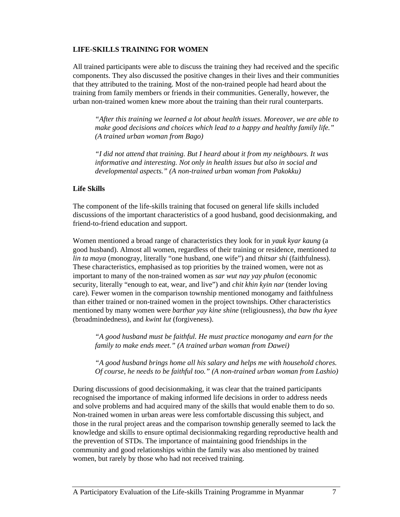#### **LIFE-SKILLS TRAINING FOR WOMEN**

All trained participants were able to discuss the training they had received and the specific components. They also discussed the positive changes in their lives and their communities that they attributed to the training. Most of the non-trained people had heard about the training from family members or friends in their communities. Generally, however, the urban non-trained women knew more about the training than their rural counterparts.

*"After this training we learned a lot about health issues. Moreover, we are able to make good decisions and choices which lead to a happy and healthy family life." (A trained urban woman from Bago)*

*"I did not attend that training. But I heard about it from my neighbours. It was informative and interesting. Not only in health issues but also in social and developmental aspects." (A non-trained urban woman from Pakokku)*

# **Life Skills**

The component of the life-skills training that focused on general life skills included discussions of the important characteristics of a good husband, good decisionmaking, and friend-to-friend education and support.

Women mentioned a broad range of characteristics they look for in *yauk kyar kaung* (a good husband). Almost all women, regardless of their training or residence, mentioned *ta lin ta maya* (monogray, literally "one husband, one wife") and *thitsar shi* (faithfulness). These characteristics, emphasised as top priorities by the trained women, were not as important to many of the non-trained women as *sar wut nay yay phulon* (economic security, literally "enough to eat, wear, and live") and *chit khin kyin nar* (tender loving care). Fewer women in the comparison township mentioned monogamy and faithfulness than either trained or non-trained women in the project townships. Other characteristics mentioned by many women were *barthar yay kine shine* (religiousness), *tha baw tha kyee* (broadmindedness), and *kwint lut* (forgiveness).

*"A good husband must be faithful. He must practice monogamy and earn for the family to make ends meet." (A trained urban woman from Dawei)*

*"A good husband brings home all his salary and helps me with household chores. Of course, he needs to be faithful too." (A non-trained urban woman from Lashio)*

During discussions of good decisionmaking, it was clear that the trained participants recognised the importance of making informed life decisions in order to address needs and solve problems and had acquired many of the skills that would enable them to do so. Non-trained women in urban areas were less comfortable discussing this subject, and those in the rural project areas and the comparison township generally seemed to lack the knowledge and skills to ensure optimal decisionmaking regarding reproductive health and the prevention of STDs. The importance of maintaining good friendships in the community and good relationships within the family was also mentioned by trained women, but rarely by those who had not received training.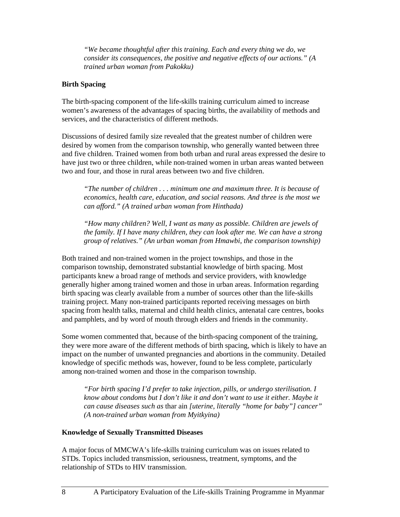*"We became thoughtful after this training. Each and every thing we do, we consider its consequences, the positive and negative effects of our actions." (A trained urban woman from Pakokku)*

# **Birth Spacing**

The birth-spacing component of the life-skills training curriculum aimed to increase women's awareness of the advantages of spacing births, the availability of methods and services, and the characteristics of different methods.

Discussions of desired family size revealed that the greatest number of children were desired by women from the comparison township, who generally wanted between three and five children. Trained women from both urban and rural areas expressed the desire to have just two or three children, while non-trained women in urban areas wanted between two and four, and those in rural areas between two and five children.

*"The number of children . . . minimum one and maximum three. It is because of economics, health care, education, and social reasons. And three is the most we can afford." (A trained urban woman from Hinthada)*

*"How many children? Well, I want as many as possible. Children are jewels of the family. If I have many children, they can look after me. We can have a strong group of relatives." (An urban woman from Hmawbi, the comparison township)*

Both trained and non-trained women in the project townships, and those in the comparison township, demonstrated substantial knowledge of birth spacing. Most participants knew a broad range of methods and service providers, with knowledge generally higher among trained women and those in urban areas. Information regarding birth spacing was clearly available from a number of sources other than the life-skills training project. Many non-trained participants reported receiving messages on birth spacing from health talks, maternal and child health clinics, antenatal care centres, books and pamphlets, and by word of mouth through elders and friends in the community.

Some women commented that, because of the birth-spacing component of the training, they were more aware of the different methods of birth spacing, which is likely to have an impact on the number of unwanted pregnancies and abortions in the community. Detailed knowledge of specific methods was, however, found to be less complete, particularly among non-trained women and those in the comparison township.

*"For birth spacing I'd prefer to take injection, pills, or undergo sterilisation. I know about condoms but I don't like it and don't want to use it either. Maybe it can cause diseases such as* thar ain *[uterine, literally "home for baby"] cancer" (A non-trained urban woman from Myitkyina)*

# **Knowledge of Sexually Transmitted Diseases**

A major focus of MMCWA's life-skills training curriculum was on issues related to STDs. Topics included transmission, seriousness, treatment, symptoms, and the relationship of STDs to HIV transmission.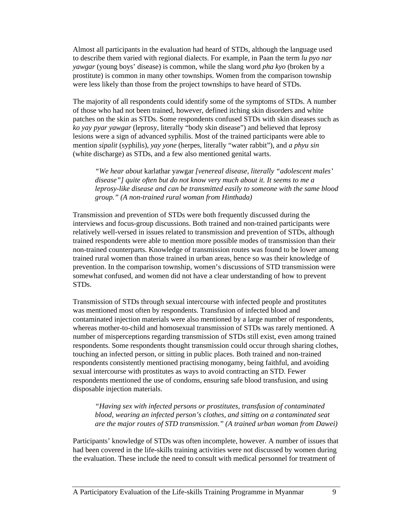Almost all participants in the evaluation had heard of STDs, although the language used to describe them varied with regional dialects. For example, in Paan the term *lu pyo nar yawgar* (young boys' disease) is common, while the slang word *pha kyo* (broken by a prostitute) is common in many other townships. Women from the comparison township were less likely than those from the project townships to have heard of STDs.

The majority of all respondents could identify some of the symptoms of STDs. A number of those who had not been trained, however, defined itching skin disorders and white patches on the skin as STDs. Some respondents confused STDs with skin diseases such as *ko yay pyar yawgar* (leprosy, literally "body skin disease") and believed that leprosy lesions were a sign of advanced syphilis. Most of the trained participants were able to mention *sipalit* (syphilis), *yay yone* (herpes, literally "water rabbit"), and *a phyu sin* (white discharge) as STDs, and a few also mentioned genital warts.

*"We hear about* karlathar yawgar *[venereal disease, literally "adolescent males' disease"] quite often but do not know very much about it. It seems to me a leprosy-like disease and can be transmitted easily to someone with the same blood group." (A non-trained rural woman from Hinthada)*

Transmission and prevention of STDs were both frequently discussed during the interviews and focus-group discussions. Both trained and non-trained participants were relatively well-versed in issues related to transmission and prevention of STDs, although trained respondents were able to mention more possible modes of transmission than their non-trained counterparts. Knowledge of transmission routes was found to be lower among trained rural women than those trained in urban areas, hence so was their knowledge of prevention. In the comparison township, women's discussions of STD transmission were somewhat confused, and women did not have a clear understanding of how to prevent STDs.

Transmission of STDs through sexual intercourse with infected people and prostitutes was mentioned most often by respondents. Transfusion of infected blood and contaminated injection materials were also mentioned by a large number of respondents, whereas mother-to-child and homosexual transmission of STDs was rarely mentioned. A number of misperceptions regarding transmission of STDs still exist, even among trained respondents. Some respondents thought transmission could occur through sharing clothes, touching an infected person, or sitting in public places. Both trained and non-trained respondents consistently mentioned practising monogamy, being faithful, and avoiding sexual intercourse with prostitutes as ways to avoid contracting an STD. Fewer respondents mentioned the use of condoms, ensuring safe blood transfusion, and using disposable injection materials.

*"Having sex with infected persons or prostitutes, transfusion of contaminated blood, wearing an infected person's clothes, and sitting on a contaminated seat are the major routes of STD transmission." (A trained urban woman from Dawei)*

Participants' knowledge of STDs was often incomplete, however. A number of issues that had been covered in the life-skills training activities were not discussed by women during the evaluation. These include the need to consult with medical personnel for treatment of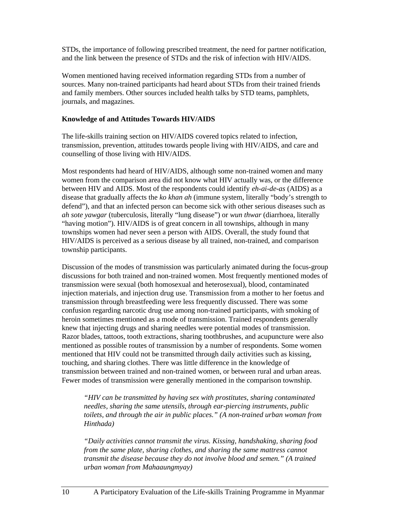STDs, the importance of following prescribed treatment, the need for partner notification, and the link between the presence of STDs and the risk of infection with HIV/AIDS.

Women mentioned having received information regarding STDs from a number of sources. Many non-trained participants had heard about STDs from their trained friends and family members. Other sources included health talks by STD teams, pamphlets, journals, and magazines.

#### **Knowledge of and Attitudes Towards HIV/AIDS**

The life-skills training section on HIV/AIDS covered topics related to infection, transmission, prevention, attitudes towards people living with HIV/AIDS, and care and counselling of those living with HIV/AIDS.

Most respondents had heard of HIV/AIDS, although some non-trained women and many women from the comparison area did not know what HIV actually was, or the difference between HIV and AIDS. Most of the respondents could identify *eh-ai-de-as* (AIDS) as a disease that gradually affects the *ko khan ah* (immune system, literally "body's strength to defend"), and that an infected person can become sick with other serious diseases such as *ah sote yawgar* (tuberculosis, literally "lung disease") or *wun thwar* (diarrhoea, literally "having motion"). HIV/AIDS is of great concern in all townships, although in many townships women had never seen a person with AIDS. Overall, the study found that HIV/AIDS is perceived as a serious disease by all trained, non-trained, and comparison township participants.

Discussion of the modes of transmission was particularly animated during the focus-group discussions for both trained and non-trained women. Most frequently mentioned modes of transmission were sexual (both homosexual and heterosexual), blood, contaminated injection materials, and injection drug use. Transmission from a mother to her foetus and transmission through breastfeeding were less frequently discussed. There was some confusion regarding narcotic drug use among non-trained participants, with smoking of heroin sometimes mentioned as a mode of transmission. Trained respondents generally knew that injecting drugs and sharing needles were potential modes of transmission. Razor blades, tattoos, tooth extractions, sharing toothbrushes, and acupuncture were also mentioned as possible routes of transmission by a number of respondents. Some women mentioned that HIV could not be transmitted through daily activities such as kissing, touching, and sharing clothes. There was little difference in the knowledge of transmission between trained and non-trained women, or between rural and urban areas. Fewer modes of transmission were generally mentioned in the comparison township.

*"HIV can be transmitted by having sex with prostitutes, sharing contaminated needles, sharing the same utensils, through ear-piercing instruments, public toilets, and through the air in public places." (A non-trained urban woman from Hinthada)* 

*"Daily activities cannot transmit the virus. Kissing, handshaking, sharing food from the same plate, sharing clothes, and sharing the same mattress cannot transmit the disease because they do not involve blood and semen." (A trained urban woman from Mahaaungmyay)*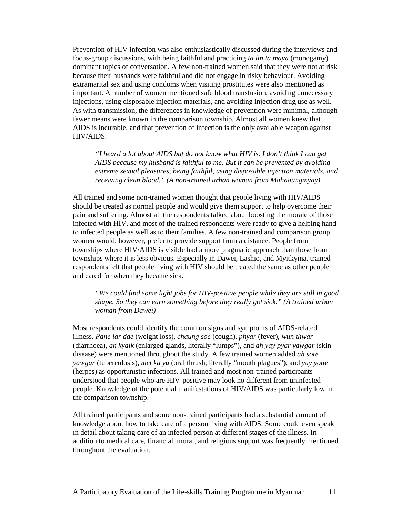Prevention of HIV infection was also enthusiastically discussed during the interviews and focus-group discussions, with being faithful and practicing *ta lin ta maya* (monogamy) dominant topics of conversation. A few non-trained women said that they were not at risk because their husbands were faithful and did not engage in risky behaviour. Avoiding extramarital sex and using condoms when visiting prostitutes were also mentioned as important. A number of women mentioned safe blood transfusion, avoiding unnecessary injections, using disposable injection materials, and avoiding injection drug use as well. As with transmission, the differences in knowledge of prevention were minimal, although fewer means were known in the comparison township. Almost all women knew that AIDS is incurable, and that prevention of infection is the only available weapon against HIV/AIDS.

*"I heard a lot about AIDS but do not know what HIV is. I don't think I can get AIDS because my husband is faithful to me. But it can be prevented by avoiding extreme sexual pleasures, being faithful, using disposable injection materials, and receiving clean blood." (A non-trained urban woman from Mahaaungmyay)*

All trained and some non-trained women thought that people living with HIV/AIDS should be treated as normal people and would give them support to help overcome their pain and suffering. Almost all the respondents talked about boosting the morale of those infected with HIV, and most of the trained respondents were ready to give a helping hand to infected people as well as to their families. A few non-trained and comparison group women would, however, prefer to provide support from a distance. People from townships where HIV/AIDS is visible had a more pragmatic approach than those from townships where it is less obvious. Especially in Dawei, Lashio, and Myitkyina, trained respondents felt that people living with HIV should be treated the same as other people and cared for when they became sick.

*"We could find some light jobs for HIV-positive people while they are still in good shape. So they can earn something before they really got sick." (A trained urban woman from Dawei)*

Most respondents could identify the common signs and symptoms of AIDS-related illness. *Pane lar dae* (weight loss), *chaung soe* (cough), *phyar* (fever), *wun thwar* (diarrhoea), *ah kyaik* (enlarged glands, literally "lumps"), and *ah yay pyar yawgar* (skin disease) were mentioned throughout the study. A few trained women added *ah sote yawgar* (tuberculosis), *met ka yu* (oral thrush, literally "mouth plagues"), and *yay yone* (herpes) as opportunistic infections. All trained and most non-trained participants understood that people who are HIV-positive may look no different from uninfected people. Knowledge of the potential manifestations of HIV/AIDS was particularly low in the comparison township.

All trained participants and some non-trained participants had a substantial amount of knowledge about how to take care of a person living with AIDS. Some could even speak in detail about taking care of an infected person at different stages of the illness. In addition to medical care, financial, moral, and religious support was frequently mentioned throughout the evaluation.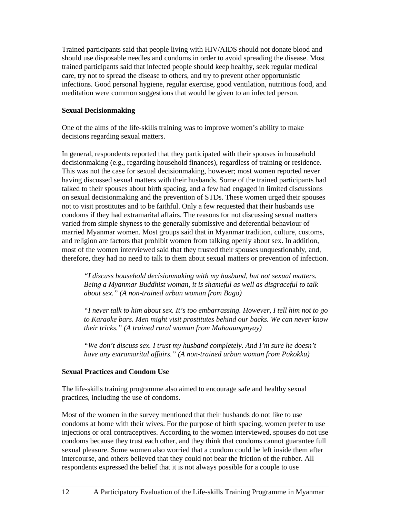Trained participants said that people living with HIV/AIDS should not donate blood and should use disposable needles and condoms in order to avoid spreading the disease. Most trained participants said that infected people should keep healthy, seek regular medical care, try not to spread the disease to others, and try to prevent other opportunistic infections. Good personal hygiene, regular exercise, good ventilation, nutritious food, and meditation were common suggestions that would be given to an infected person.

# **Sexual Decisionmaking**

One of the aims of the life-skills training was to improve women's ability to make decisions regarding sexual matters.

In general, respondents reported that they participated with their spouses in household decisionmaking (e.g., regarding household finances), regardless of training or residence. This was not the case for sexual decisionmaking, however; most women reported never having discussed sexual matters with their husbands. Some of the trained participants had talked to their spouses about birth spacing, and a few had engaged in limited discussions on sexual decisionmaking and the prevention of STDs. These women urged their spouses not to visit prostitutes and to be faithful. Only a few requested that their husbands use condoms if they had extramarital affairs. The reasons for not discussing sexual matters varied from simple shyness to the generally submissive and deferential behaviour of married Myanmar women. Most groups said that in Myanmar tradition, culture, customs, and religion are factors that prohibit women from talking openly about sex. In addition, most of the women interviewed said that they trusted their spouses unquestionably, and, therefore, they had no need to talk to them about sexual matters or prevention of infection.

*"I discuss household decisionmaking with my husband, but not sexual matters. Being a Myanmar Buddhist woman, it is shameful as well as disgraceful to talk about sex." (A non-trained urban woman from Bago)*

*"I never talk to him about sex. It's too embarrassing. However, I tell him not to go to Karaoke bars. Men might visit prostitutes behind our backs. We can never know their tricks." (A trained rural woman from Mahaaungmyay)*

*"We don't discuss sex. I trust my husband completely. And I'm sure he doesn't have any extramarital affairs." (A non-trained urban woman from Pakokku)*

# **Sexual Practices and Condom Use**

The life-skills training programme also aimed to encourage safe and healthy sexual practices, including the use of condoms.

Most of the women in the survey mentioned that their husbands do not like to use condoms at home with their wives. For the purpose of birth spacing, women prefer to use injections or oral contraceptives. According to the women interviewed, spouses do not use condoms because they trust each other, and they think that condoms cannot guarantee full sexual pleasure. Some women also worried that a condom could be left inside them after intercourse, and others believed that they could not bear the friction of the rubber. All respondents expressed the belief that it is not always possible for a couple to use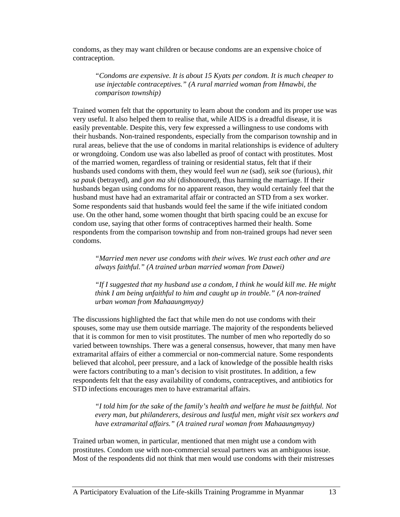condoms, as they may want children or because condoms are an expensive choice of contraception.

*"Condoms are expensive. It is about 15 Kyats per condom. It is much cheaper to use injectable contraceptives." (A rural married woman from Hmawbi, the comparison township)*

Trained women felt that the opportunity to learn about the condom and its proper use was very useful. It also helped them to realise that, while AIDS is a dreadful disease, it is easily preventable. Despite this, very few expressed a willingness to use condoms with their husbands. Non-trained respondents, especially from the comparison township and in rural areas, believe that the use of condoms in marital relationships is evidence of adultery or wrongdoing. Condom use was also labelled as proof of contact with prostitutes. Most of the married women, regardless of training or residential status, felt that if their husbands used condoms with them, they would feel *wun ne* (sad), *seik soe* (furious), *thit sa pauk* (betrayed), and *gon ma shi* (dishonoured), thus harming the marriage. If their husbands began using condoms for no apparent reason, they would certainly feel that the husband must have had an extramarital affair or contracted an STD from a sex worker. Some respondents said that husbands would feel the same if the wife initiated condom use. On the other hand, some women thought that birth spacing could be an excuse for condom use, saying that other forms of contraceptives harmed their health. Some respondents from the comparison township and from non-trained groups had never seen condoms.

*"Married men never use condoms with their wives. We trust each other and are always faithful." (A trained urban married woman from Dawei)*

*"If I suggested that my husband use a condom, I think he would kill me. He might think I am being unfaithful to him and caught up in trouble." (A non-trained urban woman from Mahaaungmyay)*

The discussions highlighted the fact that while men do not use condoms with their spouses, some may use them outside marriage. The majority of the respondents believed that it is common for men to visit prostitutes. The number of men who reportedly do so varied between townships. There was a general consensus, however, that many men have extramarital affairs of either a commercial or non-commercial nature. Some respondents believed that alcohol, peer pressure, and a lack of knowledge of the possible health risks were factors contributing to a man's decision to visit prostitutes. In addition, a few respondents felt that the easy availability of condoms, contraceptives, and antibiotics for STD infections encourages men to have extramarital affairs.

*"I told him for the sake of the family's health and welfare he must be faithful. Not every man, but philanderers, desirous and lustful men, might visit sex workers and have extramarital affairs." (A trained rural woman from Mahaaungmyay)*

Trained urban women, in particular, mentioned that men might use a condom with prostitutes. Condom use with non-commercial sexual partners was an ambiguous issue. Most of the respondents did not think that men would use condoms with their mistresses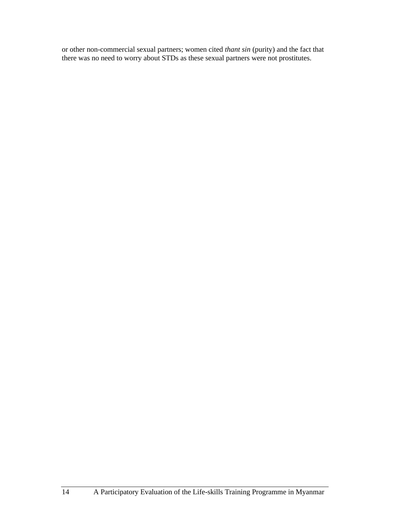or other non-commercial sexual partners; women cited *thant sin* (purity) and the fact that there was no need to worry about STDs as these sexual partners were not prostitutes.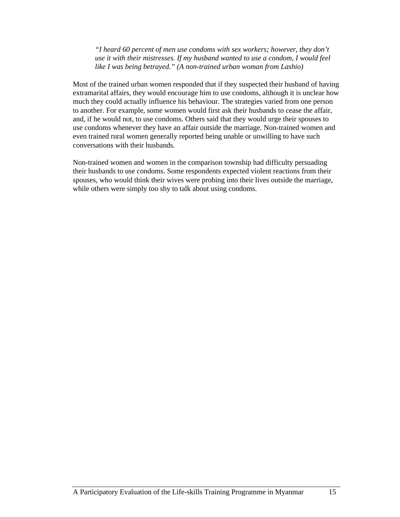*"I heard 60 percent of men use condoms with sex workers; however, they don't use it with their mistresses. If my husband wanted to use a condom, I would feel like I was being betrayed." (A non-trained urban woman from Lashio)*

Most of the trained urban women responded that if they suspected their husband of having extramarital affairs, they would encourage him to use condoms, although it is unclear how much they could actually influence his behaviour. The strategies varied from one person to another. For example, some women would first ask their husbands to cease the affair, and, if he would not, to use condoms. Others said that they would urge their spouses to use condoms whenever they have an affair outside the marriage. Non-trained women and even trained rural women generally reported being unable or unwilling to have such conversations with their husbands.

Non-trained women and women in the comparison township had difficulty persuading their husbands to use condoms. Some respondents expected violent reactions from their spouses, who would think their wives were probing into their lives outside the marriage, while others were simply too shy to talk about using condoms.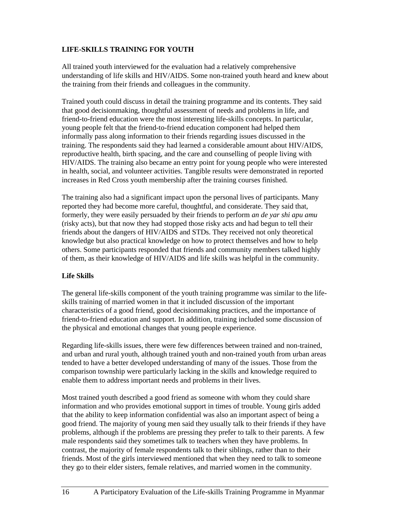# **LIFE-SKILLS TRAINING FOR YOUTH**

All trained youth interviewed for the evaluation had a relatively comprehensive understanding of life skills and HIV/AIDS. Some non-trained youth heard and knew about the training from their friends and colleagues in the community.

Trained youth could discuss in detail the training programme and its contents. They said that good decisionmaking, thoughtful assessment of needs and problems in life, and friend-to-friend education were the most interesting life-skills concepts. In particular, young people felt that the friend-to-friend education component had helped them informally pass along information to their friends regarding issues discussed in the training. The respondents said they had learned a considerable amount about HIV/AIDS, reproductive health, birth spacing, and the care and counselling of people living with HIV/AIDS. The training also became an entry point for young people who were interested in health, social, and volunteer activities. Tangible results were demonstrated in reported increases in Red Cross youth membership after the training courses finished.

The training also had a significant impact upon the personal lives of participants. Many reported they had become more careful, thoughtful, and considerate. They said that, formerly, they were easily persuaded by their friends to perform *an de yar shi apu amu* (risky acts), but that now they had stopped those risky acts and had begun to tell their friends about the dangers of HIV/AIDS and STDs. They received not only theoretical knowledge but also practical knowledge on how to protect themselves and how to help others. Some participants responded that friends and community members talked highly of them, as their knowledge of HIV/AIDS and life skills was helpful in the community.

# **Life Skills**

The general life-skills component of the youth training programme was similar to the lifeskills training of married women in that it included discussion of the important characteristics of a good friend, good decisionmaking practices, and the importance of friend-to-friend education and support. In addition, training included some discussion of the physical and emotional changes that young people experience.

Regarding life-skills issues, there were few differences between trained and non-trained, and urban and rural youth, although trained youth and non-trained youth from urban areas tended to have a better developed understanding of many of the issues. Those from the comparison township were particularly lacking in the skills and knowledge required to enable them to address important needs and problems in their lives.

Most trained youth described a good friend as someone with whom they could share information and who provides emotional support in times of trouble. Young girls added that the ability to keep information confidential was also an important aspect of being a good friend. The majority of young men said they usually talk to their friends if they have problems, although if the problems are pressing they prefer to talk to their parents. A few male respondents said they sometimes talk to teachers when they have problems. In contrast, the majority of female respondents talk to their siblings, rather than to their friends. Most of the girls interviewed mentioned that when they need to talk to someone they go to their elder sisters, female relatives, and married women in the community.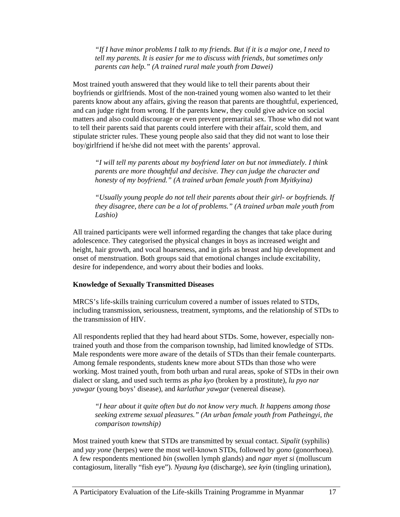*"If I have minor problems I talk to my friends. But if it is a major one, I need to tell my parents. It is easier for me to discuss with friends, but sometimes only parents can help." (A trained rural male youth from Dawei)*

Most trained youth answered that they would like to tell their parents about their boyfriends or girlfriends. Most of the non-trained young women also wanted to let their parents know about any affairs, giving the reason that parents are thoughtful, experienced, and can judge right from wrong. If the parents knew, they could give advice on social matters and also could discourage or even prevent premarital sex. Those who did not want to tell their parents said that parents could interfere with their affair, scold them, and stipulate stricter rules. These young people also said that they did not want to lose their boy/girlfriend if he/she did not meet with the parents' approval.

*"I will tell my parents about my boyfriend later on but not immediately. I think parents are more thoughtful and decisive. They can judge the character and honesty of my boyfriend." (A trained urban female youth from Myitkyina)*

*"Usually young people do not tell their parents about their girl- or boyfriends. If they disagree, there can be a lot of problems." (A trained urban male youth from Lashio)*

All trained participants were well informed regarding the changes that take place during adolescence. They categorised the physical changes in boys as increased weight and height, hair growth, and vocal hoarseness, and in girls as breast and hip development and onset of menstruation. Both groups said that emotional changes include excitability, desire for independence, and worry about their bodies and looks.

#### **Knowledge of Sexually Transmitted Diseases**

MRCS's life-skills training curriculum covered a number of issues related to STDs, including transmission, seriousness, treatment, symptoms, and the relationship of STDs to the transmission of HIV.

All respondents replied that they had heard about STDs. Some, however, especially nontrained youth and those from the comparison township, had limited knowledge of STDs. Male respondents were more aware of the details of STDs than their female counterparts. Among female respondents, students knew more about STDs than those who were working. Most trained youth, from both urban and rural areas, spoke of STDs in their own dialect or slang, and used such terms as *pha kyo* (broken by a prostitute), *lu pyo nar yawgar* (young boys' disease), and *karlathar yawgar* (venereal disease).

*"I hear about it quite often but do not know very much. It happens among those seeking extreme sexual pleasures." (An urban female youth from Patheingyi, the comparison township)*

Most trained youth knew that STDs are transmitted by sexual contact. *Sipalit* (syphilis) and *yay yone* (herpes) were the most well-known STDs, followed by *gono* (gonorrhoea). A few respondents mentioned *bin* (swollen lymph glands) and *ngar myet si* (molluscum contagiosum, literally "fish eye"). *Nyaung kya* (discharge), *see kyin* (tingling urination),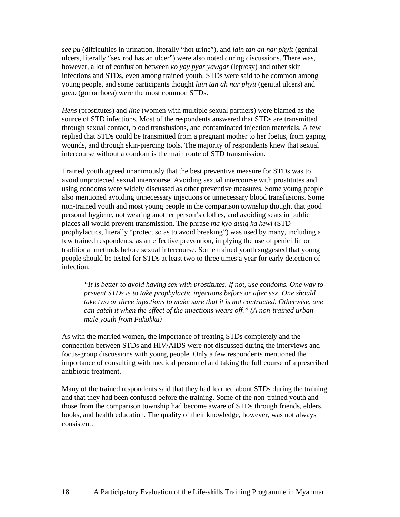*see pu* (difficulties in urination, literally "hot urine"), and *lain tan ah nar phyit* (genital ulcers, literally "sex rod has an ulcer") were also noted during discussions. There was, however, a lot of confusion between *ko yay pyar yawgar* (leprosy) and other skin infections and STDs, even among trained youth. STDs were said to be common among young people, and some participants thought *lain tan ah nar phyit* (genital ulcers) and *gono* (gonorrhoea) were the most common STDs.

*Hens* (prostitutes) and *line* (women with multiple sexual partners) were blamed as the source of STD infections. Most of the respondents answered that STDs are transmitted through sexual contact, blood transfusions, and contaminated injection materials. A few replied that STDs could be transmitted from a pregnant mother to her foetus, from gaping wounds, and through skin-piercing tools. The majority of respondents knew that sexual intercourse without a condom is the main route of STD transmission.

Trained youth agreed unanimously that the best preventive measure for STDs was to avoid unprotected sexual intercourse. Avoiding sexual intercourse with prostitutes and using condoms were widely discussed as other preventive measures. Some young people also mentioned avoiding unnecessary injections or unnecessary blood transfusions. Some non-trained youth and most young people in the comparison township thought that good personal hygiene, not wearing another person's clothes, and avoiding seats in public places all would prevent transmission. The phrase *ma kyo aung ka kewi* (STD prophylactics, literally "protect so as to avoid breaking") was used by many, including a few trained respondents, as an effective prevention, implying the use of penicillin or traditional methods before sexual intercourse. Some trained youth suggested that young people should be tested for STDs at least two to three times a year for early detection of infection.

*"It is better to avoid having sex with prostitutes. If not, use condoms. One way to prevent STDs is to take prophylactic injections before or after sex. One should take two or three injections to make sure that it is not contracted. Otherwise, one can catch it when the effect of the injections wears off." (A non-trained urban male youth from Pakokku)*

As with the married women, the importance of treating STDs completely and the connection between STDs and HIV/AIDS were not discussed during the interviews and focus-group discussions with young people. Only a few respondents mentioned the importance of consulting with medical personnel and taking the full course of a prescribed antibiotic treatment.

Many of the trained respondents said that they had learned about STDs during the training and that they had been confused before the training. Some of the non-trained youth and those from the comparison township had become aware of STDs through friends, elders, books, and health education. The quality of their knowledge, however, was not always consistent.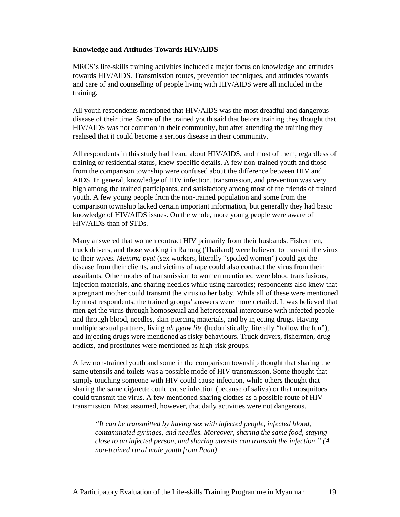#### **Knowledge and Attitudes Towards HIV/AIDS**

MRCS's life-skills training activities included a major focus on knowledge and attitudes towards HIV/AIDS. Transmission routes, prevention techniques, and attitudes towards and care of and counselling of people living with HIV/AIDS were all included in the training.

All youth respondents mentioned that HIV/AIDS was the most dreadful and dangerous disease of their time. Some of the trained youth said that before training they thought that HIV/AIDS was not common in their community, but after attending the training they realised that it could become a serious disease in their community.

All respondents in this study had heard about HIV/AIDS, and most of them, regardless of training or residential status, knew specific details. A few non-trained youth and those from the comparison township were confused about the difference between HIV and AIDS. In general, knowledge of HIV infection, transmission, and prevention was very high among the trained participants, and satisfactory among most of the friends of trained youth. A few young people from the non-trained population and some from the comparison township lacked certain important information, but generally they had basic knowledge of HIV/AIDS issues. On the whole, more young people were aware of HIV/AIDS than of STDs.

Many answered that women contract HIV primarily from their husbands. Fishermen, truck drivers, and those working in Ranong (Thailand) were believed to transmit the virus to their wives. *Meinma pyat* (sex workers, literally "spoiled women") could get the disease from their clients, and victims of rape could also contract the virus from their assailants. Other modes of transmission to women mentioned were blood transfusions, injection materials, and sharing needles while using narcotics; respondents also knew that a pregnant mother could transmit the virus to her baby. While all of these were mentioned by most respondents, the trained groups' answers were more detailed. It was believed that men get the virus through homosexual and heterosexual intercourse with infected people and through blood, needles, skin-piercing materials, and by injecting drugs. Having multiple sexual partners, living *ah pyaw lite* (hedonistically, literally "follow the fun"), and injecting drugs were mentioned as risky behaviours. Truck drivers, fishermen, drug addicts, and prostitutes were mentioned as high-risk groups.

A few non-trained youth and some in the comparison township thought that sharing the same utensils and toilets was a possible mode of HIV transmission. Some thought that simply touching someone with HIV could cause infection, while others thought that sharing the same cigarette could cause infection (because of saliva) or that mosquitoes could transmit the virus. A few mentioned sharing clothes as a possible route of HIV transmission. Most assumed, however, that daily activities were not dangerous.

*"It can be transmitted by having sex with infected people, infected blood, contaminated syringes, and needles. Moreover, sharing the same food, staying close to an infected person, and sharing utensils can transmit the infection." (A non-trained rural male youth from Paan)*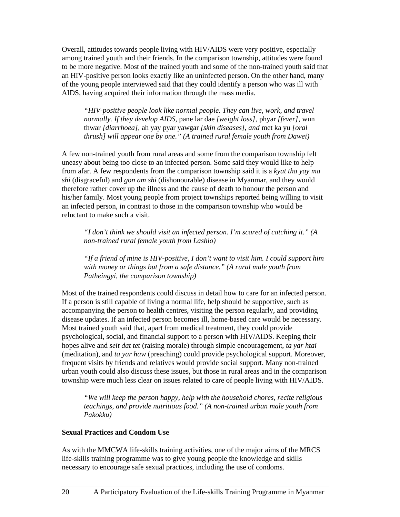Overall, attitudes towards people living with HIV/AIDS were very positive, especially among trained youth and their friends. In the comparison township, attitudes were found to be more negative. Most of the trained youth and some of the non-trained youth said that an HIV-positive person looks exactly like an uninfected person. On the other hand, many of the young people interviewed said that they could identify a person who was ill with AIDS, having acquired their information through the mass media.

*"HIV-positive people look like normal people. They can live, work, and travel normally. If they develop AIDS,* pane lar dae *[weight loss],* phyar *[fever],* wun thwar *[diarrhoea],* ah yay pyar yawgar *[skin diseases], and* met ka yu *[oral thrush] will appear one by one." (A trained rural female youth from Dawei)*

A few non-trained youth from rural areas and some from the comparison township felt uneasy about being too close to an infected person. Some said they would like to help from afar. A few respondents from the comparison township said it is a *kyat tha yay ma shi* (disgraceful) and *gon am shi* (dishonourable) disease in Myanmar, and they would therefore rather cover up the illness and the cause of death to honour the person and his/her family. Most young people from project townships reported being willing to visit an infected person, in contrast to those in the comparison township who would be reluctant to make such a visit.

*"I don't think we should visit an infected person. I'm scared of catching it." (A non-trained rural female youth from Lashio)*

*"If a friend of mine is HIV-positive, I don't want to visit him. I could support him with money or things but from a safe distance." (A rural male youth from Patheingyi, the comparison township)*

Most of the trained respondents could discuss in detail how to care for an infected person. If a person is still capable of living a normal life, help should be supportive, such as accompanying the person to health centres, visiting the person regularly, and providing disease updates. If an infected person becomes ill, home-based care would be necessary. Most trained youth said that, apart from medical treatment, they could provide psychological, social, and financial support to a person with HIV/AIDS. Keeping their hopes alive and *seit dat tet* (raising morale) through simple encouragement, *ta yar htai* (meditation), and *ta yar haw* (preaching) could provide psychological support. Moreover, frequent visits by friends and relatives would provide social support. Many non-trained urban youth could also discuss these issues, but those in rural areas and in the comparison township were much less clear on issues related to care of people living with HIV/AIDS.

*"We will keep the person happy, help with the household chores, recite religious teachings, and provide nutritious food." (A non-trained urban male youth from Pakokku)*

#### **Sexual Practices and Condom Use**

As with the MMCWA life-skills training activities, one of the major aims of the MRCS life-skills training programme was to give young people the knowledge and skills necessary to encourage safe sexual practices, including the use of condoms.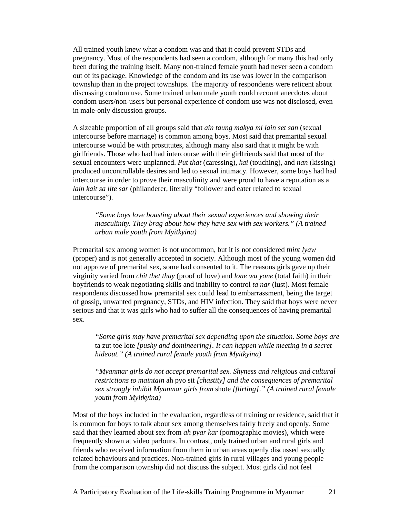All trained youth knew what a condom was and that it could prevent STDs and pregnancy. Most of the respondents had seen a condom, although for many this had only been during the training itself. Many non-trained female youth had never seen a condom out of its package. Knowledge of the condom and its use was lower in the comparison township than in the project townships. The majority of respondents were reticent about discussing condom use. Some trained urban male youth could recount anecdotes about condom users/non-users but personal experience of condom use was not disclosed, even in male-only discussion groups.

A sizeable proportion of all groups said that *ain taung makya mi lain set san* (sexual intercourse before marriage) is common among boys. Most said that premarital sexual intercourse would be with prostitutes, although many also said that it might be with girlfriends. Those who had had intercourse with their girlfriends said that most of the sexual encounters were unplanned. *Put that* (caressing), *kai* (touching), and *nan* (kissing) produced uncontrollable desires and led to sexual intimacy. However, some boys had had intercourse in order to prove their masculinity and were proud to have a reputation as a *lain kait sa lite sar* (philanderer, literally "follower and eater related to sexual intercourse").

*"Some boys love boasting about their sexual experiences and showing their masculinity. They brag about how they have sex with sex workers." (A trained urban male youth from Myitkyina)*

Premarital sex among women is not uncommon, but it is not considered *thint lyaw* (proper) and is not generally accepted in society. Although most of the young women did not approve of premarital sex, some had consented to it. The reasons girls gave up their virginity varied from *chit thet thay* (proof of love) and *lone wa yone* (total faith) in their boyfriends to weak negotiating skills and inability to control *ta nar* (lust). Most female respondents discussed how premarital sex could lead to embarrassment, being the target of gossip, unwanted pregnancy, STDs, and HIV infection. They said that boys were never serious and that it was girls who had to suffer all the consequences of having premarital sex.

*"Some girls may have premarital sex depending upon the situation. Some boys are*  ta zut toe lote *[pushy and domineering]. It can happen while meeting in a secret hideout." (A trained rural female youth from Myitkyina)*

*"Myanmar girls do not accept premarital sex. Shyness and religious and cultural restrictions to maintain* ah pyo sit *[chastity] and the consequences of premarital sex strongly inhibit Myanmar girls from* shote *[flirting]." (A trained rural female youth from Myitkyina)*

Most of the boys included in the evaluation, regardless of training or residence, said that it is common for boys to talk about sex among themselves fairly freely and openly. Some said that they learned about sex from *ah pyar kar* (pornographic movies), which were frequently shown at video parlours. In contrast, only trained urban and rural girls and friends who received information from them in urban areas openly discussed sexually related behaviours and practices. Non-trained girls in rural villages and young people from the comparison township did not discuss the subject. Most girls did not feel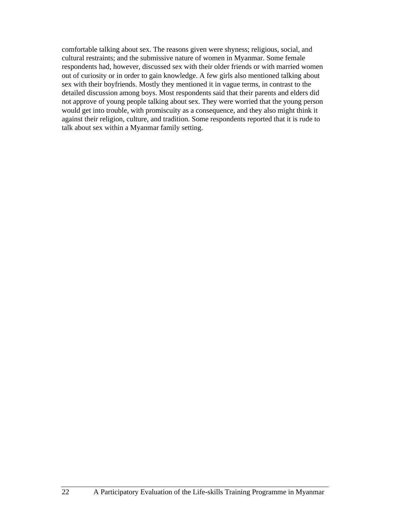comfortable talking about sex. The reasons given were shyness; religious, social, and cultural restraints; and the submissive nature of women in Myanmar. Some female respondents had, however, discussed sex with their older friends or with married women out of curiosity or in order to gain knowledge. A few girls also mentioned talking about sex with their boyfriends. Mostly they mentioned it in vague terms, in contrast to the detailed discussion among boys. Most respondents said that their parents and elders did not approve of young people talking about sex. They were worried that the young person would get into trouble, with promiscuity as a consequence, and they also might think it against their religion, culture, and tradition. Some respondents reported that it is rude to talk about sex within a Myanmar family setting.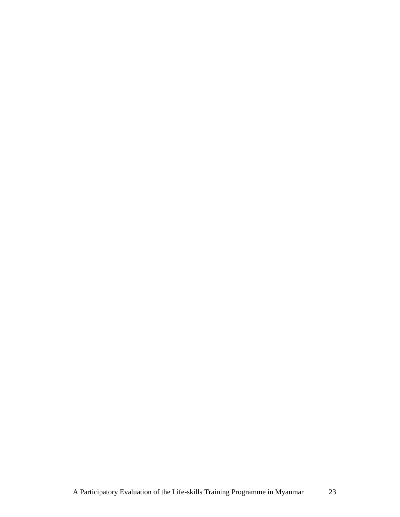# A Participatory Evaluation of the Life-skills Training Programme in Myanmar 23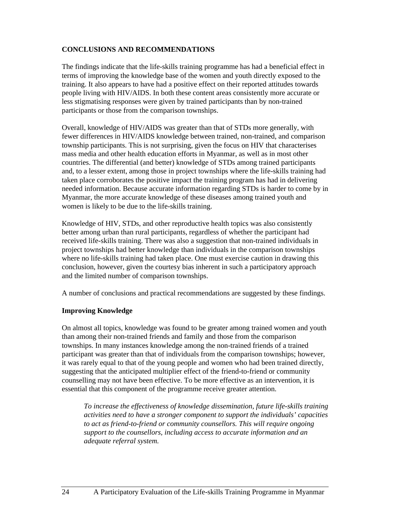# **CONCLUSIONS AND RECOMMENDATIONS**

The findings indicate that the life-skills training programme has had a beneficial effect in terms of improving the knowledge base of the women and youth directly exposed to the training. It also appears to have had a positive effect on their reported attitudes towards people living with HIV/AIDS. In both these content areas consistently more accurate or less stigmatising responses were given by trained participants than by non-trained participants or those from the comparison townships.

Overall, knowledge of HIV/AIDS was greater than that of STDs more generally, with fewer differences in HIV/AIDS knowledge between trained, non-trained, and comparison township participants. This is not surprising, given the focus on HIV that characterises mass media and other health education efforts in Myanmar, as well as in most other countries. The differential (and better) knowledge of STDs among trained participants and, to a lesser extent, among those in project townships where the life-skills training had taken place corroborates the positive impact the training program has had in delivering needed information. Because accurate information regarding STDs is harder to come by in Myanmar, the more accurate knowledge of these diseases among trained youth and women is likely to be due to the life-skills training.

Knowledge of HIV, STDs, and other reproductive health topics was also consistently better among urban than rural participants, regardless of whether the participant had received life-skills training. There was also a suggestion that non-trained individuals in project townships had better knowledge than individuals in the comparison townships where no life-skills training had taken place. One must exercise caution in drawing this conclusion, however, given the courtesy bias inherent in such a participatory approach and the limited number of comparison townships.

A number of conclusions and practical recommendations are suggested by these findings.

# **Improving Knowledge**

On almost all topics, knowledge was found to be greater among trained women and youth than among their non-trained friends and family and those from the comparison townships. In many instances knowledge among the non-trained friends of a trained participant was greater than that of individuals from the comparison townships; however, it was rarely equal to that of the young people and women who had been trained directly, suggesting that the anticipated multiplier effect of the friend-to-friend or community counselling may not have been effective. To be more effective as an intervention, it is essential that this component of the programme receive greater attention.

*To increase the effectiveness of knowledge dissemination, future life-skills training activities need to have a stronger component to support the individuals' capacities to act as friend-to-friend or community counsellors. This will require ongoing support to the counsellors, including access to accurate information and an adequate referral system.*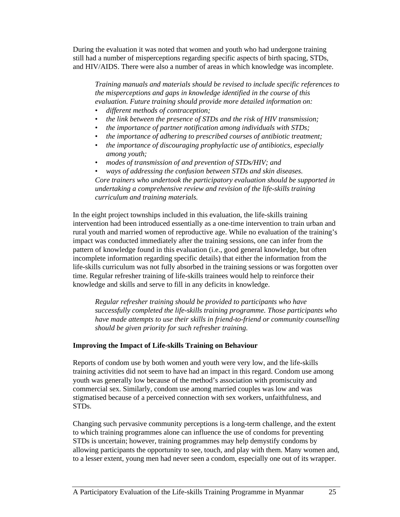During the evaluation it was noted that women and youth who had undergone training still had a number of misperceptions regarding specific aspects of birth spacing, STDs, and HIV/AIDS. There were also a number of areas in which knowledge was incomplete.

*Training manuals and materials should be revised to include specific references to the misperceptions and gaps in knowledge identified in the course of this evaluation. Future training should provide more detailed information on:*

- *different methods of contraception;*
- *the link between the presence of STDs and the risk of HIV transmission;*
- *the importance of partner notification among individuals with STDs;*
- *the importance of adhering to prescribed courses of antibiotic treatment;*
- *the importance of discouraging prophylactic use of antibiotics, especially among youth;*
- *modes of transmission of and prevention of STDs/HIV; and*

• *ways of addressing the confusion between STDs and skin diseases. Core trainers who undertook the participatory evaluation should be supported in undertaking a comprehensive review and revision of the life-skills training curriculum and training materials.*

In the eight project townships included in this evaluation, the life-skills training intervention had been introduced essentially as a one-time intervention to train urban and rural youth and married women of reproductive age. While no evaluation of the training's impact was conducted immediately after the training sessions, one can infer from the pattern of knowledge found in this evaluation (i.e., good general knowledge, but often incomplete information regarding specific details) that either the information from the life-skills curriculum was not fully absorbed in the training sessions or was forgotten over time. Regular refresher training of life-skills trainees would help to reinforce their knowledge and skills and serve to fill in any deficits in knowledge.

*Regular refresher training should be provided to participants who have successfully completed the life-skills training programme. Those participants who have made attempts to use their skills in friend-to-friend or community counselling should be given priority for such refresher training.*

# **Improving the Impact of Life-skills Training on Behaviour**

Reports of condom use by both women and youth were very low, and the life-skills training activities did not seem to have had an impact in this regard. Condom use among youth was generally low because of the method's association with promiscuity and commercial sex. Similarly, condom use among married couples was low and was stigmatised because of a perceived connection with sex workers, unfaithfulness, and STDs.

Changing such pervasive community perceptions is a long-term challenge, and the extent to which training programmes alone can influence the use of condoms for preventing STDs is uncertain; however, training programmes may help demystify condoms by allowing participants the opportunity to see, touch, and play with them. Many women and, to a lesser extent, young men had never seen a condom, especially one out of its wrapper.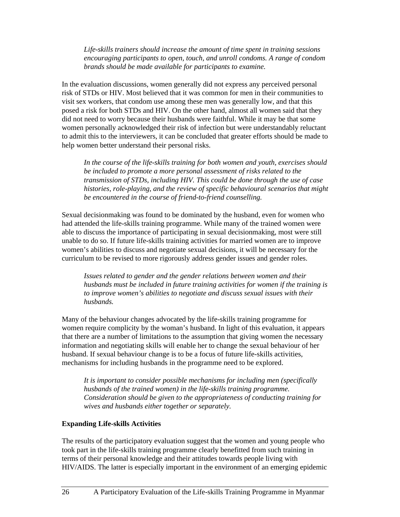*Life-skills trainers should increase the amount of time spent in training sessions encouraging participants to open, touch, and unroll condoms. A range of condom brands should be made available for participants to examine.*

In the evaluation discussions, women generally did not express any perceived personal risk of STDs or HIV. Most believed that it was common for men in their communities to visit sex workers, that condom use among these men was generally low, and that this posed a risk for both STDs and HIV. On the other hand, almost all women said that they did not need to worry because their husbands were faithful. While it may be that some women personally acknowledged their risk of infection but were understandably reluctant to admit this to the interviewers, it can be concluded that greater efforts should be made to help women better understand their personal risks.

*In the course of the life-skills training for both women and youth, exercises should be included to promote a more personal assessment of risks related to the transmission of STDs, including HIV. This could be done through the use of case histories, role-playing, and the review of specific behavioural scenarios that might be encountered in the course of friend-to-friend counselling.*

Sexual decisionmaking was found to be dominated by the husband, even for women who had attended the life-skills training programme. While many of the trained women were able to discuss the importance of participating in sexual decisionmaking, most were still unable to do so. If future life-skills training activities for married women are to improve women's abilities to discuss and negotiate sexual decisions, it will be necessary for the curriculum to be revised to more rigorously address gender issues and gender roles.

*Issues related to gender and the gender relations between women and their husbands must be included in future training activities for women if the training is to improve women's abilities to negotiate and discuss sexual issues with their husbands.*

Many of the behaviour changes advocated by the life-skills training programme for women require complicity by the woman's husband. In light of this evaluation, it appears that there are a number of limitations to the assumption that giving women the necessary information and negotiating skills will enable her to change the sexual behaviour of her husband. If sexual behaviour change is to be a focus of future life-skills activities, mechanisms for including husbands in the programme need to be explored.

*It is important to consider possible mechanisms for including men (specifically husbands of the trained women) in the life-skills training programme. Consideration should be given to the appropriateness of conducting training for wives and husbands either together or separately.*

# **Expanding Life-skills Activities**

The results of the participatory evaluation suggest that the women and young people who took part in the life-skills training programme clearly benefitted from such training in terms of their personal knowledge and their attitudes towards people living with HIV/AIDS. The latter is especially important in the environment of an emerging epidemic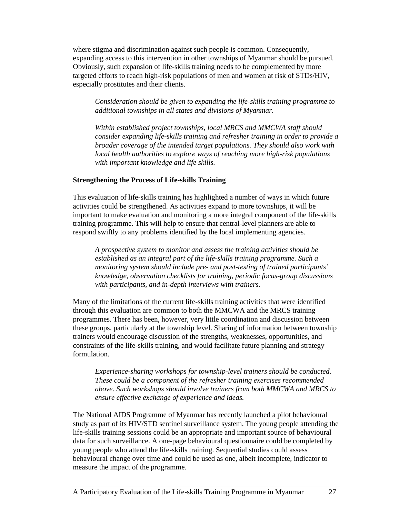where stigma and discrimination against such people is common. Consequently, expanding access to this intervention in other townships of Myanmar should be pursued. Obviously, such expansion of life-skills training needs to be complemented by more targeted efforts to reach high-risk populations of men and women at risk of STDs/HIV, especially prostitutes and their clients.

*Consideration should be given to expanding the life-skills training programme to additional townships in all states and divisions of Myanmar.*

*Within established project townships, local MRCS and MMCWA staff should consider expanding life-skills training and refresher training in order to provide a broader coverage of the intended target populations. They should also work with local health authorities to explore ways of reaching more high-risk populations with important knowledge and life skills.*

#### **Strengthening the Process of Life-skills Training**

This evaluation of life-skills training has highlighted a number of ways in which future activities could be strengthened. As activities expand to more townships, it will be important to make evaluation and monitoring a more integral component of the life-skills training programme. This will help to ensure that central-level planners are able to respond swiftly to any problems identified by the local implementing agencies.

*A prospective system to monitor and assess the training activities should be established as an integral part of the life-skills training programme. Such a monitoring system should include pre- and post-testing of trained participants' knowledge, observation checklists for training, periodic focus-group discussions with participants, and in-depth interviews with trainers.* 

Many of the limitations of the current life-skills training activities that were identified through this evaluation are common to both the MMCWA and the MRCS training programmes. There has been, however, very little coordination and discussion between these groups, particularly at the township level. Sharing of information between township trainers would encourage discussion of the strengths, weaknesses, opportunities, and constraints of the life-skills training, and would facilitate future planning and strategy formulation.

*Experience-sharing workshops for township-level trainers should be conducted. These could be a component of the refresher training exercises recommended above. Such workshops should involve trainers from both MMCWA and MRCS to ensure effective exchange of experience and ideas.*

The National AIDS Programme of Myanmar has recently launched a pilot behavioural study as part of its HIV/STD sentinel surveillance system. The young people attending the life-skills training sessions could be an appropriate and important source of behavioural data for such surveillance. A one-page behavioural questionnaire could be completed by young people who attend the life-skills training. Sequential studies could assess behavioural change over time and could be used as one, albeit incomplete, indicator to measure the impact of the programme.